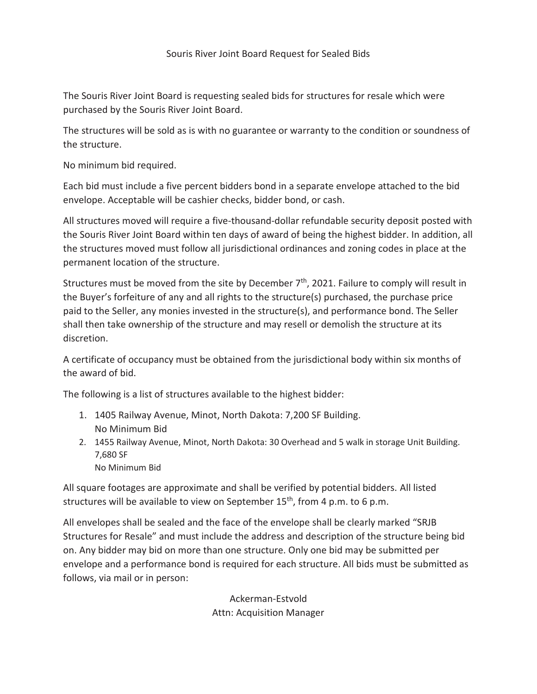The Souris River Joint Board is requesting sealed bids for structures for resale which were purchased by the Souris River Joint Board.

The structures will be sold as is with no guarantee or warranty to the condition or soundness of the structure.

No minimum bid required.

Each bid must include a five percent bidders bond in a separate envelope attached to the bid envelope. Acceptable will be cashier checks, bidder bond, or cash.

All structures moved will require a five-thousand-dollar refundable security deposit posted with the Souris River Joint Board within ten days of award of being the highest bidder. In addition, all the structures moved must follow all jurisdictional ordinances and zoning codes in place at the permanent location of the structure.

Structures must be moved from the site by December  $7<sup>th</sup>$ , 2021. Failure to comply will result in the Buyer's forfeiture of any and all rights to the structure(s) purchased, the purchase price paid to the Seller, any monies invested in the structure(s), and performance bond. The Seller shall then take ownership of the structure and may resell or demolish the structure at its discretion.

A certificate of occupancy must be obtained from the jurisdictional body within six months of the award of bid.

The following is a list of structures available to the highest bidder:

- 1. 1405 Railway Avenue, Minot, North Dakota: 7,200 SF Building. No Minimum Bid
- 2. 1455 Railway Avenue, Minot, North Dakota: 30 Overhead and 5 walk in storage Unit Building. 7,680 SF

No Minimum Bid

All square footages are approximate and shall be verified by potential bidders. All listed structures will be available to view on September  $15<sup>th</sup>$ , from 4 p.m. to 6 p.m.

All envelopes shall be sealed and the face of the envelope shall be clearly marked "SRJB Structures for Resale" and must include the address and description of the structure being bid on. Any bidder may bid on more than one structure. Only one bid may be submitted per envelope and a performance bond is required for each structure. All bids must be submitted as follows, via mail or in person:

> Ackerman-Estvold Attn: Acquisition Manager